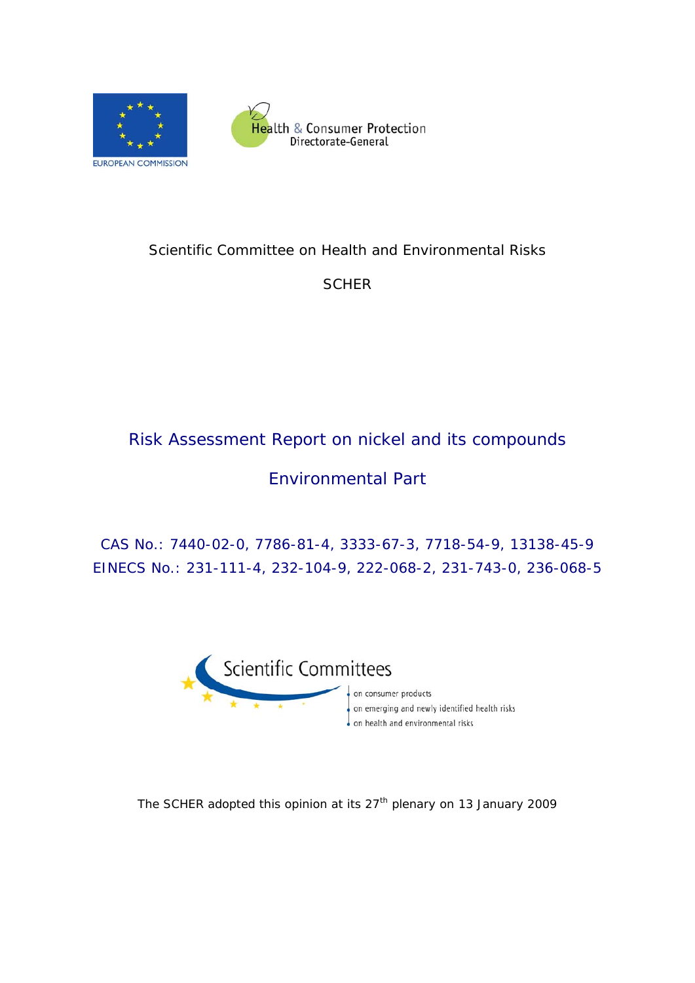



# Scientific Committee on Health and Environmental Risks

**SCHER** 

# Risk Assessment Report on nickel and its compounds

# Environmental Part

CAS No.: 7440-02-0, 7786-81-4, 3333-67-3, 7718-54-9, 13138-45-9 EINECS No.: 231-111-4, 232-104-9, 222-068-2, 231-743-0, 236-068-5



on consumer products on emerging and newly identified health risks on health and environmental risks

The SCHER adopted this opinion at its 27<sup>th</sup> plenary on 13 January 2009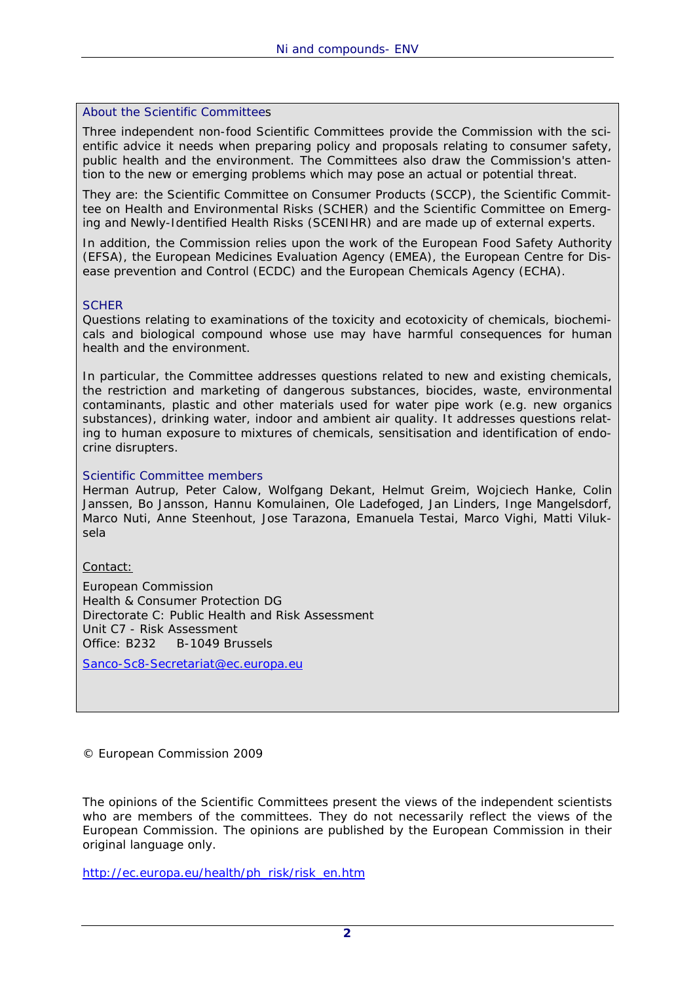#### About the Scientific Committees

Three independent non-food Scientific Committees provide the Commission with the scientific advice it needs when preparing policy and proposals relating to consumer safety, public health and the environment. The Committees also draw the Commission's attention to the new or emerging problems which may pose an actual or potential threat.

They are: the Scientific Committee on Consumer Products (SCCP), the Scientific Committee on Health and Environmental Risks (SCHER) and the Scientific Committee on Emerging and Newly-Identified Health Risks (SCENIHR) and are made up of external experts.

In addition, the Commission relies upon the work of the European Food Safety Authority (EFSA), the European Medicines Evaluation Agency (EMEA), the European Centre for Disease prevention and Control (ECDC) and the European Chemicals Agency (ECHA).

#### **SCHER**

Questions relating to examinations of the toxicity and ecotoxicity of chemicals, biochemicals and biological compound whose use may have harmful consequences for human health and the environment.

In particular, the Committee addresses questions related to new and existing chemicals, the restriction and marketing of dangerous substances, biocides, waste, environmental contaminants, plastic and other materials used for water pipe work (e.g. new organics substances), drinking water, indoor and ambient air quality. It addresses questions relating to human exposure to mixtures of chemicals, sensitisation and identification of endocrine disrupters.

#### Scientific Committee members

Herman Autrup, Peter Calow, Wolfgang Dekant, Helmut Greim, Wojciech Hanke, Colin Janssen, Bo Jansson, Hannu Komulainen, Ole Ladefoged, Jan Linders, Inge Mangelsdorf, Marco Nuti, Anne Steenhout, Jose Tarazona, Emanuela Testai, Marco Vighi, Matti Viluksela

Contact:

European Commission Health & Consumer Protection DG Directorate C: Public Health and Risk Assessment Unit C7 - Risk Assessment Office: B232 B-1049 Brussels

Sanco-Sc8-Secretariat@ec.europa.eu

© European Commission 2009

The opinions of the Scientific Committees present the views of the independent scientists who are members of the committees. They do not necessarily reflect the views of the European Commission. The opinions are published by the European Commission in their original language only.

http://ec.europa.eu/health/ph\_risk/risk\_en.htm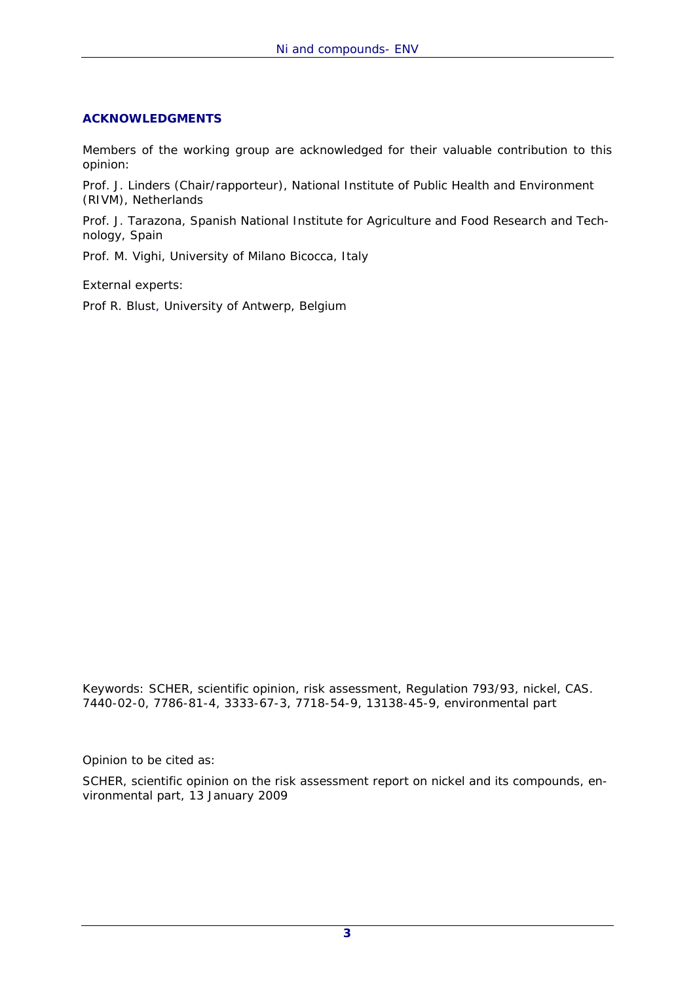# **ACKNOWLEDGMENTS**

Members of the working group are acknowledged for their valuable contribution to this opinion:

Prof. J. Linders *(Chair/rapporteur),* National Institute of Public Health and Environment (RIVM), Netherlands

Prof. J. Tarazona, Spanish National Institute for Agriculture and Food Research and Technology, Spain

Prof. M. Vighi, University of Milano Bicocca, Italy

External experts:

Prof R. Blust, University of Antwerp, Belgium

Keywords: SCHER, scientific opinion, risk assessment, Regulation 793/93, nickel, CAS. 7440-02-0, 7786-81-4, 3333-67-3, 7718-54-9, 13138-45-9, environmental part

Opinion to be cited as:

SCHER, scientific opinion on the risk assessment report on nickel and its compounds, environmental part, 13 January 2009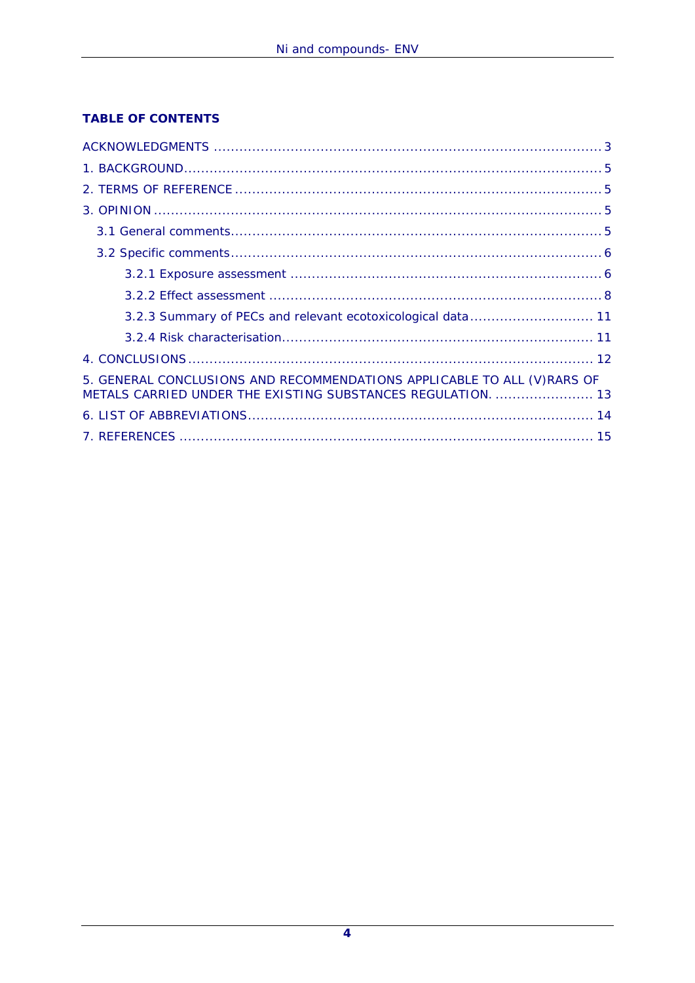# **TABLE OF CONTENTS**

| 5. GENERAL CONCLUSIONS AND RECOMMENDATIONS APPLICABLE TO ALL (V) RARS OF<br>METALS CARRIED UNDER THE EXISTING SUBSTANCES REGULATION.  13 |
|------------------------------------------------------------------------------------------------------------------------------------------|
|                                                                                                                                          |
|                                                                                                                                          |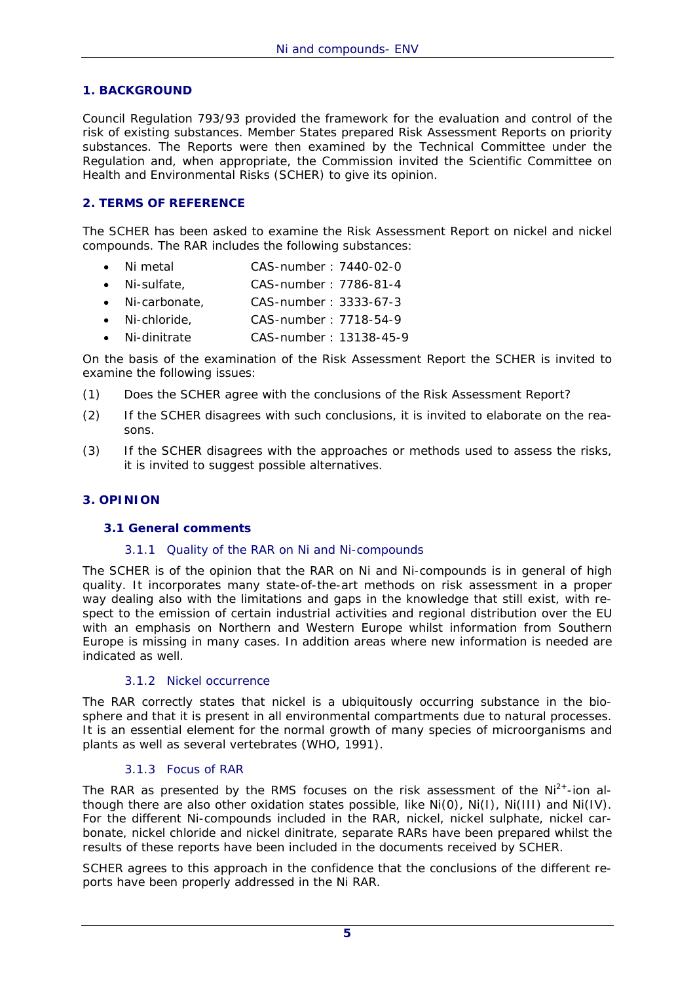#### **1. BACKGROUND**

Council Regulation 793/93 provided the framework for the evaluation and control of the risk of existing substances. Member States prepared Risk Assessment Reports on priority substances. The Reports were then examined by the Technical Committee under the Regulation and, when appropriate, the Commission invited the Scientific Committee on Health and Environmental Risks (SCHER) to give its opinion.

# **2. TERMS OF REFERENCE**

The SCHER has been asked to examine the Risk Assessment Report on nickel and nickel compounds. The RAR includes the following substances:

- Ni metal CAS-number : 7440-02-0
- Ni-sulfate, CAS-number : 7786-81-4
- Ni-carbonate, CAS-number : 3333-67-3
- Ni-chloride, CAS-number : 7718-54-9
- Ni-dinitrate CAS-number : 13138-45-9

On the basis of the examination of the Risk Assessment Report the SCHER is invited to examine the following issues:

- (1) Does the SCHER agree with the conclusions of the Risk Assessment Report?
- (2) If the SCHER disagrees with such conclusions, it is invited to elaborate on the reasons.
- (3) If the SCHER disagrees with the approaches or methods used to assess the risks, it is invited to suggest possible alternatives.

#### **3. OPINION**

#### **3.1 General comments**

#### 3.1.1 Quality of the RAR on Ni and Ni-compounds

The SCHER is of the opinion that the RAR on Ni and Ni-compounds is in general of high quality. It incorporates many state-of-the-art methods on risk assessment in a proper way dealing also with the limitations and gaps in the knowledge that still exist, with respect to the emission of certain industrial activities and regional distribution over the EU with an emphasis on Northern and Western Europe whilst information from Southern Europe is missing in many cases. In addition areas where new information is needed are indicated as well.

#### 3.1.2 Nickel occurrence

The RAR correctly states that nickel is a ubiquitously occurring substance in the biosphere and that it is present in all environmental compartments due to natural processes. It is an essential element for the normal growth of many species of microorganisms and plants as well as several vertebrates (WHO, 1991).

# 3.1.3 Focus of RAR

The RAR as presented by the RMS focuses on the risk assessment of the  $Ni<sup>2+</sup>$ -ion although there are also other oxidation states possible, like Ni(0), Ni(I), Ni(III) and Ni(IV). For the different Ni-compounds included in the RAR, nickel, nickel sulphate, nickel carbonate, nickel chloride and nickel dinitrate, separate RARs have been prepared whilst the results of these reports have been included in the documents received by SCHER.

SCHER agrees to this approach in the confidence that the conclusions of the different reports have been properly addressed in the Ni RAR.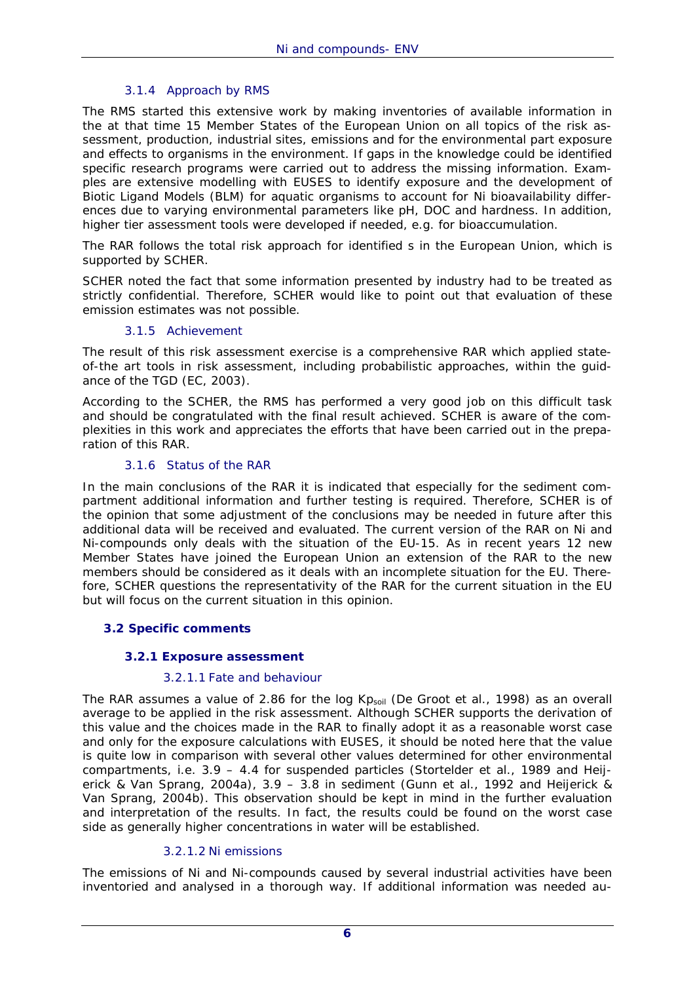# 3.1.4 Approach by RMS

The RMS started this extensive work by making inventories of available information in the at that time 15 Member States of the European Union on all topics of the risk assessment, production, industrial sites, emissions and for the environmental part exposure and effects to organisms in the environment. If gaps in the knowledge could be identified specific research programs were carried out to address the missing information. Examples are extensive modelling with EUSES to identify exposure and the development of Biotic Ligand Models (BLM) for aquatic organisms to account for Ni bioavailability differences due to varying environmental parameters like pH, DOC and hardness. In addition, higher tier assessment tools were developed if needed, e.g. for bioaccumulation.

The RAR follows the total risk approach for identified s in the European Union, which is supported by SCHER.

SCHER noted the fact that some information presented by industry had to be treated as strictly confidential. Therefore, SCHER would like to point out that evaluation of these emission estimates was not possible.

#### 3.1.5 Achievement

The result of this risk assessment exercise is a comprehensive RAR which applied stateof-the art tools in risk assessment, including probabilistic approaches, within the guidance of the TGD (EC, 2003).

According to the SCHER, the RMS has performed a very good job on this difficult task and should be congratulated with the final result achieved. SCHER is aware of the complexities in this work and appreciates the efforts that have been carried out in the preparation of this RAR.

#### 3.1.6 Status of the RAR

In the main conclusions of the RAR it is indicated that especially for the sediment compartment additional information and further testing is required. Therefore, SCHER is of the opinion that some adjustment of the conclusions may be needed in future after this additional data will be received and evaluated. The current version of the RAR on Ni and Ni-compounds only deals with the situation of the EU-15. As in recent years 12 new Member States have joined the European Union an extension of the RAR to the new members should be considered as it deals with an incomplete situation for the EU. Therefore, SCHER questions the representativity of the RAR for the current situation in the EU but will focus on the current situation in this opinion.

#### **3.2 Specific comments**

#### **3.2.1 Exposure assessment**

#### 3.2.1.1 Fate and behaviour

The RAR assumes a value of 2.86 for the log  $Kp<sub>sol</sub>$  (De Groot et al., 1998) as an overall average to be applied in the risk assessment. Although SCHER supports the derivation of this value and the choices made in the RAR to finally adopt it as a reasonable worst case and only for the exposure calculations with EUSES, it should be noted here that the value is quite low in comparison with several other values determined for other environmental compartments, i.e. 3.9 – 4.4 for suspended particles (Stortelder et al., 1989 and Heijerick & Van Sprang, 2004a), 3.9 – 3.8 in sediment (Gunn *et al*., 1992 and Heijerick & Van Sprang, 2004b). This observation should be kept in mind in the further evaluation and interpretation of the results. In fact, the results could be found on the worst case side as generally higher concentrations in water will be established.

#### 3.2.1.2 Ni emissions

The emissions of Ni and Ni-compounds caused by several industrial activities have been inventoried and analysed in a thorough way. If additional information was needed au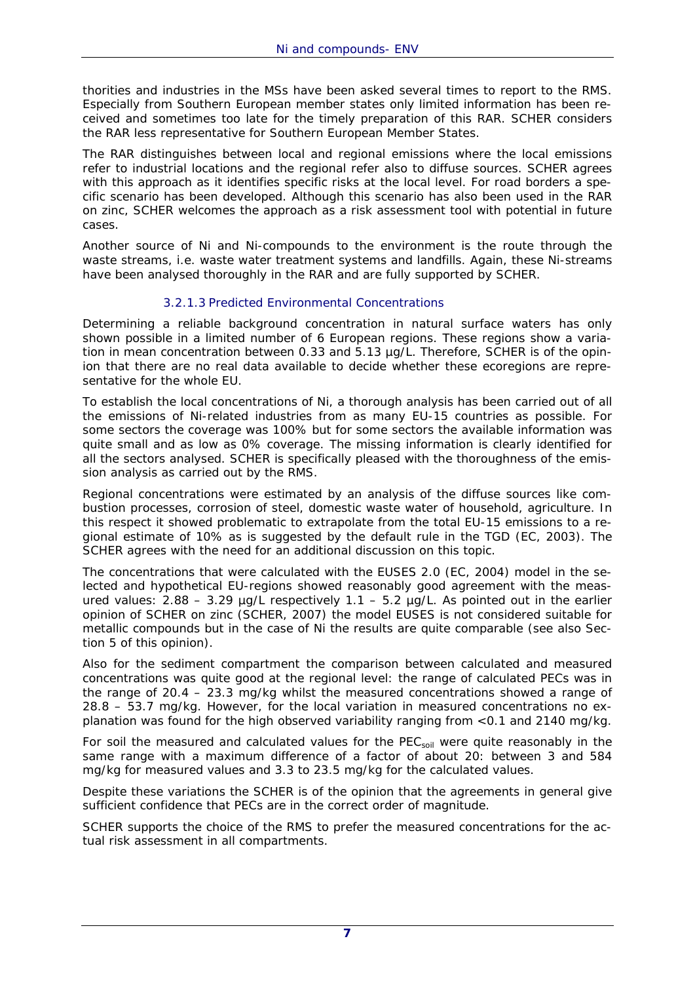thorities and industries in the MSs have been asked several times to report to the RMS. Especially from Southern European member states only limited information has been received and sometimes too late for the timely preparation of this RAR. SCHER considers the RAR less representative for Southern European Member States.

The RAR distinguishes between local and regional emissions where the local emissions refer to industrial locations and the regional refer also to diffuse sources. SCHER agrees with this approach as it identifies specific risks at the local level. For road borders a specific scenario has been developed. Although this scenario has also been used in the RAR on zinc, SCHER welcomes the approach as a risk assessment tool with potential in future cases.

Another source of Ni and Ni-compounds to the environment is the route through the waste streams, i.e. waste water treatment systems and landfills. Again, these Ni-streams have been analysed thoroughly in the RAR and are fully supported by SCHER.

# 3.2.1.3 Predicted Environmental Concentrations

Determining a reliable background concentration in natural surface waters has only shown possible in a limited number of 6 European regions. These regions show a variation in mean concentration between 0.33 and 5.13 µg/L. Therefore, SCHER is of the opinion that there are no real data available to decide whether these ecoregions are representative for the whole EU.

To establish the local concentrations of Ni, a thorough analysis has been carried out of all the emissions of Ni-related industries from as many EU-15 countries as possible. For some sectors the coverage was 100% but for some sectors the available information was quite small and as low as 0% coverage. The missing information is clearly identified for all the sectors analysed. SCHER is specifically pleased with the thoroughness of the emission analysis as carried out by the RMS.

Regional concentrations were estimated by an analysis of the diffuse sources like combustion processes, corrosion of steel, domestic waste water of household, agriculture. In this respect it showed problematic to extrapolate from the total EU-15 emissions to a regional estimate of 10% as is suggested by the default rule in the TGD (EC, 2003). The SCHER agrees with the need for an additional discussion on this topic.

The concentrations that were calculated with the EUSES 2.0 (EC, 2004) model in the selected and hypothetical EU-regions showed reasonably good agreement with the measured values:  $2.88 - 3.29$  µg/L respectively  $1.1 - 5.2$  µg/L. As pointed out in the earlier opinion of SCHER on zinc (SCHER, 2007) the model EUSES is not considered suitable for metallic compounds but in the case of Ni the results are quite comparable (see also Section 5 of this opinion).

Also for the sediment compartment the comparison between calculated and measured concentrations was quite good at the regional level: the range of calculated PECs was in the range of 20.4 – 23.3 mg/kg whilst the measured concentrations showed a range of 28.8 – 53.7 mg/kg. However, for the local variation in measured concentrations no explanation was found for the high observed variability ranging from <0.1 and 2140 mg/kg.

For soil the measured and calculated values for the PEC<sub>soil</sub> were quite reasonably in the same range with a maximum difference of a factor of about 20: between 3 and 584 mg/kg for measured values and 3.3 to 23.5 mg/kg for the calculated values.

Despite these variations the SCHER is of the opinion that the agreements in general give sufficient confidence that PECs are in the correct order of magnitude.

SCHER supports the choice of the RMS to prefer the measured concentrations for the actual risk assessment in all compartments.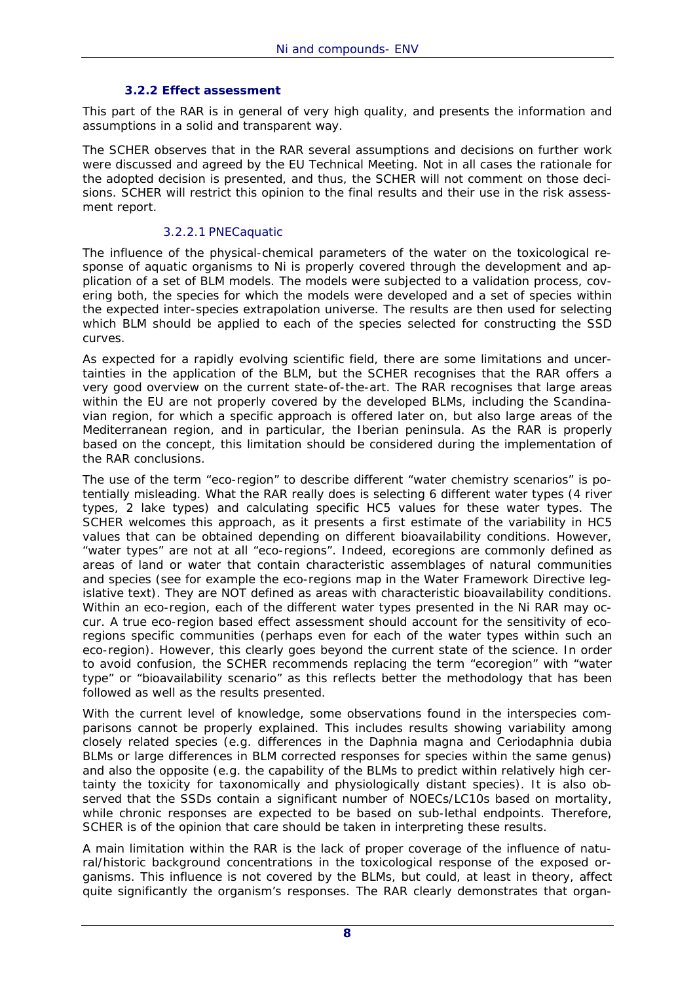#### **3.2.2 Effect assessment**

This part of the RAR is in general of very high quality, and presents the information and assumptions in a solid and transparent way.

The SCHER observes that in the RAR several assumptions and decisions on further work were discussed and agreed by the EU Technical Meeting. Not in all cases the rationale for the adopted decision is presented, and thus, the SCHER will not comment on those decisions. SCHER will restrict this opinion to the final results and their use in the risk assessment report.

#### 3.2.2.1 PNECaquatic

The influence of the physical-chemical parameters of the water on the toxicological response of aquatic organisms to Ni is properly covered through the development and application of a set of BLM models. The models were subjected to a validation process, covering both, the species for which the models were developed and a set of species within the expected inter-species extrapolation universe. The results are then used for selecting which BLM should be applied to each of the species selected for constructing the SSD curves.

As expected for a rapidly evolving scientific field, there are some limitations and uncertainties in the application of the BLM, but the SCHER recognises that the RAR offers a very good overview on the current state-of-the-art. The RAR recognises that large areas within the EU are not properly covered by the developed BLMs, including the Scandinavian region, for which a specific approach is offered later on, but also large areas of the Mediterranean region, and in particular, the Iberian peninsula. As the RAR is properly based on the concept, this limitation should be considered during the implementation of the RAR conclusions.

The use of the term "eco-region" to describe different "water chemistry scenarios" is potentially misleading. What the RAR really does is selecting 6 different water types (4 river types, 2 lake types) and calculating specific HC5 values for these water types. The SCHER welcomes this approach, as it presents a first estimate of the variability in HC5 values that can be obtained depending on different bioavailability conditions. However, "water types" are not at all "eco-regions". Indeed, ecoregions are commonly defined as areas of land or water that contain characteristic assemblages of natural communities and species (see for example the eco-regions map in the Water Framework Directive legislative text). They are NOT defined as areas with characteristic bioavailability conditions. Within an eco-region, each of the different water types presented in the Ni RAR may occur. A true eco-region based effect assessment should account for the sensitivity of ecoregions specific communities (perhaps even for each of the water types within such an eco-region). However, this clearly goes beyond the current state of the science. In order to avoid confusion, the SCHER recommends replacing the term "ecoregion" with "water type" or "bioavailability scenario" as this reflects better the methodology that has been followed as well as the results presented.

With the current level of knowledge, some observations found in the interspecies comparisons cannot be properly explained. This includes results showing variability among closely related species (e.g. differences in the *Daphnia magna* and *Ceriodaphnia dubia* BLMs or large differences in BLM corrected responses for species within the same genus) and also the opposite (e.g. the capability of the BLMs to predict within relatively high certainty the toxicity for taxonomically and physiologically distant species). It is also observed that the SSDs contain a significant number of NOECs/LC10s based on mortality, while chronic responses are expected to be based on sub-lethal endpoints. Therefore, SCHER is of the opinion that care should be taken in interpreting these results.

A main limitation within the RAR is the lack of proper coverage of the influence of natural/historic background concentrations in the toxicological response of the exposed organisms. This influence is not covered by the BLMs, but could, at least in theory, affect quite significantly the organism's responses. The RAR clearly demonstrates that organ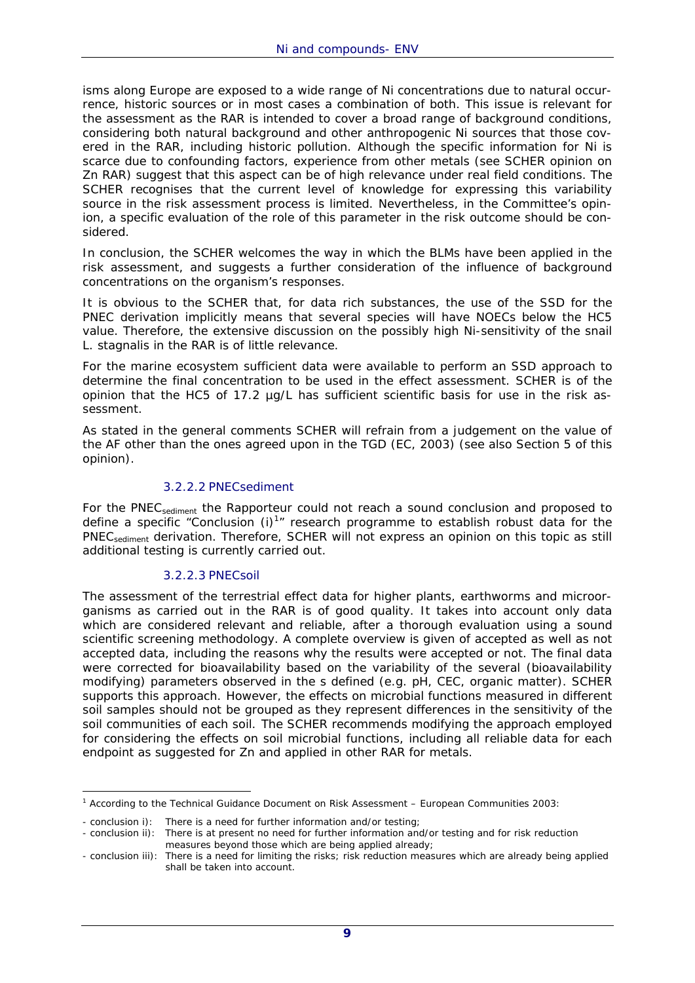isms along Europe are exposed to a wide range of Ni concentrations due to natural occurrence, historic sources or in most cases a combination of both. This issue is relevant for the assessment as the RAR is intended to cover a broad range of background conditions, considering both natural background and other anthropogenic Ni sources that those covered in the RAR, including historic pollution. Although the specific information for Ni is scarce due to confounding factors, experience from other metals (see SCHER opinion on Zn RAR) suggest that this aspect can be of high relevance under real field conditions. The SCHER recognises that the current level of knowledge for expressing this variability source in the risk assessment process is limited. Nevertheless, in the Committee's opinion, a specific evaluation of the role of this parameter in the risk outcome should be considered.

In conclusion, the SCHER welcomes the way in which the BLMs have been applied in the risk assessment, and suggests a further consideration of the influence of background concentrations on the organism's responses.

It is obvious to the SCHER that, for data rich substances, the use of the SSD for the PNEC derivation implicitly means that several species will have NOECs below the HC5 value. Therefore, the extensive discussion on the possibly high Ni-sensitivity of the snail *L. stagnalis* in the RAR is of little relevance.

For the marine ecosystem sufficient data were available to perform an SSD approach to determine the final concentration to be used in the effect assessment. SCHER is of the opinion that the HC5 of 17.2 µg/L has sufficient scientific basis for use in the risk assessment.

As stated in the general comments SCHER will refrain from a judgement on the value of the AF other than the ones agreed upon in the TGD (EC, 2003) (see also Section 5 of this opinion).

#### 3.2.2.2 PNECsediment

For the PNEC<sub>sediment</sub> the Rapporteur could not reach a sound conclusion and proposed to define a specific "Conclusion  $(i)^{1}$ " research programme to establish robust data for the PNEC<sub>sediment</sub> derivation. Therefore, SCHER will not express an opinion on this topic as still additional testing is currently carried out.

#### 3.2.2.3 PNECsoil

The assessment of the terrestrial effect data for higher plants, earthworms and microorganisms as carried out in the RAR is of good quality. It takes into account only data which are considered relevant and reliable, after a thorough evaluation using a sound scientific screening methodology. A complete overview is given of accepted as well as not accepted data, including the reasons why the results were accepted or not. The final data were corrected for bioavailability based on the variability of the several (bioavailability modifying) parameters observed in the s defined (e.g. pH, CEC, organic matter). SCHER supports this approach. However, the effects on microbial functions measured in different soil samples should not be grouped as they represent differences in the sensitivity of the soil communities of each soil. The SCHER recommends modifying the approach employed for considering the effects on soil microbial functions, including all reliable data for each endpoint as suggested for Zn and applied in other RAR for metals.

<sup>-</sup><sup>1</sup> *According to the Technical Guidance Document on Risk Assessment – European Communities 2003:* 

*<sup>-</sup> conclusion i): There is a need for further information and/or testing;* 

*<sup>-</sup> conclusion ii): There is at present no need for further information and/or testing and for risk reduction measures beyond those which are being applied already;* 

*<sup>-</sup> conclusion iii): There is a need for limiting the risks; risk reduction measures which are already being applied shall be taken into account.*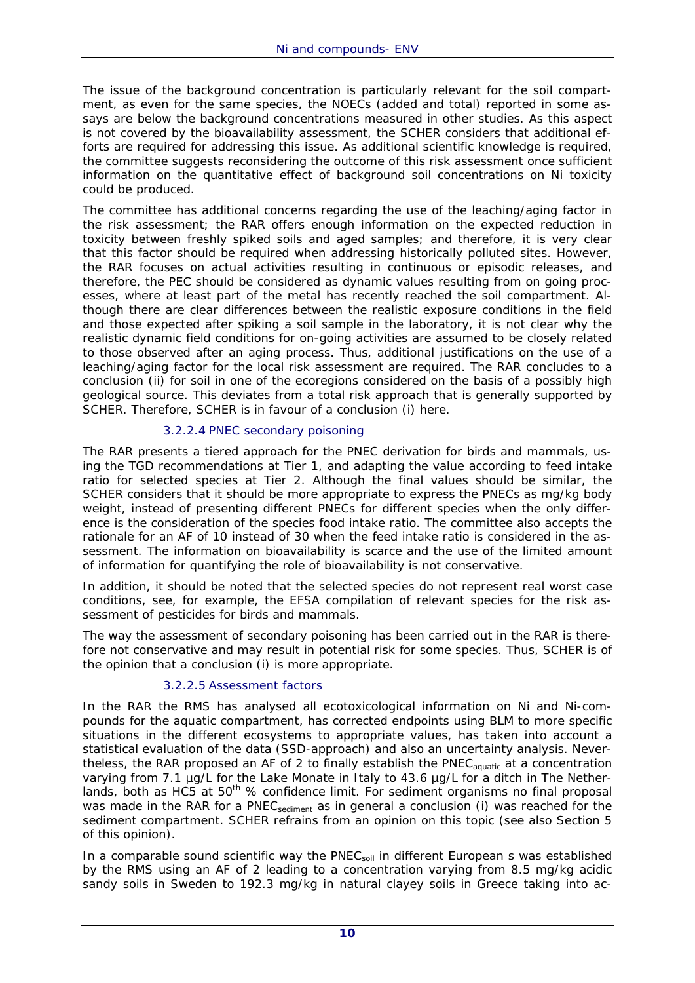The issue of the background concentration is particularly relevant for the soil compartment, as even for the same species, the NOECs (added and total) reported in some assays are below the background concentrations measured in other studies. As this aspect is not covered by the bioavailability assessment, the SCHER considers that additional efforts are required for addressing this issue. As additional scientific knowledge is required, the committee suggests reconsidering the outcome of this risk assessment once sufficient information on the quantitative effect of background soil concentrations on Ni toxicity could be produced.

The committee has additional concerns regarding the use of the leaching/aging factor in the risk assessment; the RAR offers enough information on the expected reduction in toxicity between freshly spiked soils and aged samples; and therefore, it is very clear that this factor should be required when addressing historically polluted sites. However, the RAR focuses on actual activities resulting in continuous or episodic releases, and therefore, the PEC should be considered as dynamic values resulting from on going processes, where at least part of the metal has recently reached the soil compartment. Although there are clear differences between the realistic exposure conditions in the field and those expected after spiking a soil sample in the laboratory, it is not clear why the realistic dynamic field conditions for on-going activities are assumed to be closely related to those observed after an aging process. Thus, additional justifications on the use of a leaching/aging factor for the local risk assessment are required. The RAR concludes to a conclusion (ii) for soil in one of the ecoregions considered on the basis of a possibly high geological source. This deviates from a total risk approach that is generally supported by SCHER. Therefore, SCHER is in favour of a conclusion (i) here.

# 3.2.2.4 PNEC secondary poisoning

The RAR presents a tiered approach for the PNEC derivation for birds and mammals, using the TGD recommendations at Tier 1, and adapting the value according to feed intake ratio for selected species at Tier 2. Although the final values should be similar, the SCHER considers that it should be more appropriate to express the PNECs as mg/kg body weight, instead of presenting different PNECs for different species when the only difference is the consideration of the species food intake ratio. The committee also accepts the rationale for an AF of 10 instead of 30 when the feed intake ratio is considered in the assessment. The information on bioavailability is scarce and the use of the limited amount of information for quantifying the role of bioavailability is not conservative.

In addition, it should be noted that the selected species do not represent real worst case conditions, see, for example, the EFSA compilation of relevant species for the risk assessment of pesticides for birds and mammals.

The way the assessment of secondary poisoning has been carried out in the RAR is therefore not conservative and may result in potential risk for some species. Thus, SCHER is of the opinion that a conclusion (i) is more appropriate.

# 3.2.2.5 Assessment factors

In the RAR the RMS has analysed all ecotoxicological information on Ni and Ni-compounds for the aquatic compartment, has corrected endpoints using BLM to more specific situations in the different ecosystems to appropriate values, has taken into account a statistical evaluation of the data (SSD-approach) and also an uncertainty analysis. Nevertheless, the RAR proposed an AF of 2 to finally establish the PNEC<sub>aquatic</sub> at a concentration varying from 7.1 µg/L for the Lake Monate in Italy to 43.6 µg/L for a ditch in The Netherlands, both as HC5 at  $50<sup>th</sup>$  % confidence limit. For sediment organisms no final proposal was made in the RAR for a PNEC<sub>sediment</sub> as in general a conclusion (i) was reached for the sediment compartment. SCHER refrains from an opinion on this topic (see also Section 5 of this opinion).

In a comparable sound scientific way the  $PNEC<sub>soil</sub>$  in different European s was established by the RMS using an AF of 2 leading to a concentration varying from 8.5 mg/kg acidic sandy soils in Sweden to 192.3 mg/kg in natural clayey soils in Greece taking into ac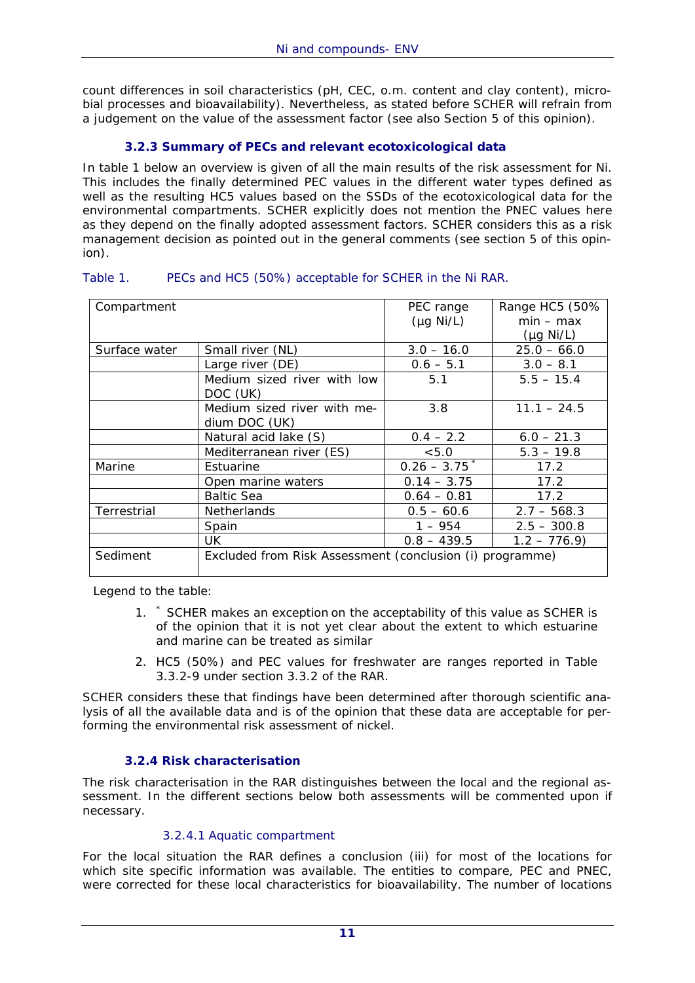count differences in soil characteristics (pH, CEC, o.m. content and clay content), microbial processes and bioavailability). Nevertheless, as stated before SCHER will refrain from a judgement on the value of the assessment factor (see also Section 5 of this opinion).

# **3.2.3 Summary of PECs and relevant ecotoxicological data**

In table 1 below an overview is given of all the main results of the risk assessment for Ni. This includes the finally determined PEC values in the different water types defined as well as the resulting HC5 values based on the SSDs of the ecotoxicological data for the environmental compartments. SCHER explicitly does not mention the PNEC values here as they depend on the finally adopted assessment factors. SCHER considers this as a risk management decision as pointed out in the general comments (see section 5 of this opinion).

| Compartment   |                                                          | PEC range      | Range HC5 (50% |
|---------------|----------------------------------------------------------|----------------|----------------|
|               |                                                          | $(\mu g Ni/L)$ | $min - max$    |
|               |                                                          |                | $(\mu g Ni/L)$ |
| Surface water | Small river (NL)                                         | $3.0 - 16.0$   | $25.0 - 66.0$  |
|               | Large river (DE)                                         | $0.6 - 5.1$    | $3.0 - 8.1$    |
|               | Medium sized river with low<br>DOC (UK)                  | 5.1            | $5.5 - 15.4$   |
|               | Medium sized river with me-<br>dium DOC (UK)             | 3.8            | $11.1 - 24.5$  |
|               | Natural acid lake (S)                                    | $0.4 - 2.2$    | $6.0 - 21.3$   |
|               | Mediterranean river (ES)                                 | < 5.0          | $5.3 - 19.8$   |
| Marine        | Estuarine                                                | $0.26 - 3.75$  | 17.2           |
|               | Open marine waters                                       | $0.14 - 3.75$  | 17.2           |
|               | <b>Baltic Sea</b>                                        | $0.64 - 0.81$  | 17.2           |
| Terrestrial   | <b>Netherlands</b>                                       | $0.5 - 60.6$   | $2.7 - 568.3$  |
|               | Spain                                                    | $1 - 954$      | $2.5 - 300.8$  |
|               | UK                                                       | $0.8 - 439.5$  | $1.2 - 776.9$  |
| Sediment      | Excluded from Risk Assessment (conclusion (i) programme) |                |                |

#### Table 1. PECs and HC5 (50%) acceptable for SCHER in the Ni RAR.

Legend to the table:

- 1. \* SCHER makes an exception on the acceptability of this value as SCHER is of the opinion that it is not yet clear about the extent to which estuarine and marine can be treated as similar
- 2. HC5 (50%) and PEC values for freshwater are ranges reported in Table 3.3.2-9 under section 3.3.2 of the RAR.

SCHER considers these that findings have been determined after thorough scientific analysis of all the available data and is of the opinion that these data are acceptable for performing the environmental risk assessment of nickel.

#### **3.2.4 Risk characterisation**

The risk characterisation in the RAR distinguishes between the local and the regional assessment. In the different sections below both assessments will be commented upon if necessary.

#### 3.2.4.1 Aquatic compartment

For the local situation the RAR defines a conclusion (iii) for most of the locations for which site specific information was available. The entities to compare, PEC and PNEC, were corrected for these local characteristics for bioavailability. The number of locations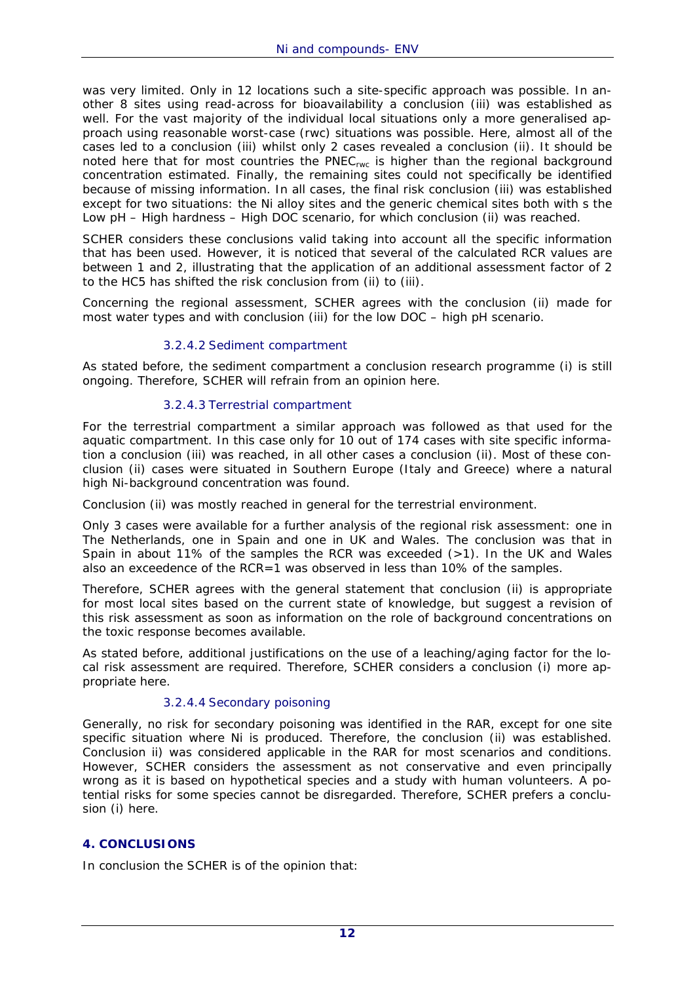was very limited. Only in 12 locations such a site-specific approach was possible. In another 8 sites using read-across for bioavailability a conclusion (iii) was established as well. For the vast majority of the individual local situations only a more generalised approach using reasonable worst-case (rwc) situations was possible. Here, almost all of the cases led to a conclusion (iii) whilst only 2 cases revealed a conclusion (ii). It should be noted here that for most countries the PNEC<sub>rwc</sub> is higher than the regional background concentration estimated. Finally, the remaining sites could not specifically be identified because of missing information. In all cases, the final risk conclusion (iii) was established except for two situations: the Ni alloy sites and the generic chemical sites both with s the Low pH – High hardness – High DOC scenario, for which conclusion (ii) was reached.

SCHER considers these conclusions valid taking into account all the specific information that has been used. However, it is noticed that several of the calculated RCR values are between 1 and 2, illustrating that the application of an additional assessment factor of 2 to the HC5 has shifted the risk conclusion from (ii) to (iii).

Concerning the regional assessment, SCHER agrees with the conclusion (ii) made for most water types and with conclusion (iii) for the low DOC – high pH scenario.

#### 3.2.4.2 Sediment compartment

As stated before, the sediment compartment a conclusion research programme (i) is still ongoing. Therefore, SCHER will refrain from an opinion here.

#### 3.2.4.3 Terrestrial compartment

For the terrestrial compartment a similar approach was followed as that used for the aquatic compartment. In this case only for 10 out of 174 cases with site specific information a conclusion (iii) was reached, in all other cases a conclusion (ii). Most of these conclusion (ii) cases were situated in Southern Europe (Italy and Greece) where a natural high Ni-background concentration was found.

Conclusion (ii) was mostly reached in general for the terrestrial environment.

Only 3 cases were available for a further analysis of the regional risk assessment: one in The Netherlands, one in Spain and one in UK and Wales. The conclusion was that in Spain in about 11% of the samples the RCR was exceeded  $(>1)$ . In the UK and Wales also an exceedence of the RCR=1 was observed in less than 10% of the samples.

Therefore, SCHER agrees with the general statement that conclusion (ii) is appropriate for most local sites based on the current state of knowledge, but suggest a revision of this risk assessment as soon as information on the role of background concentrations on the toxic response becomes available.

As stated before, additional justifications on the use of a leaching/aging factor for the local risk assessment are required. Therefore, SCHER considers a conclusion (i) more appropriate here.

#### 3.2.4.4 Secondary poisoning

Generally, no risk for secondary poisoning was identified in the RAR, except for one site specific situation where Ni is produced. Therefore, the conclusion (ii) was established. Conclusion ii) was considered applicable in the RAR for most scenarios and conditions. However, SCHER considers the assessment as not conservative and even principally wrong as it is based on hypothetical species and a study with human volunteers. A potential risks for some species cannot be disregarded. Therefore, SCHER prefers a conclusion (i) here.

#### **4. CONCLUSIONS**

In conclusion the SCHER is of the opinion that: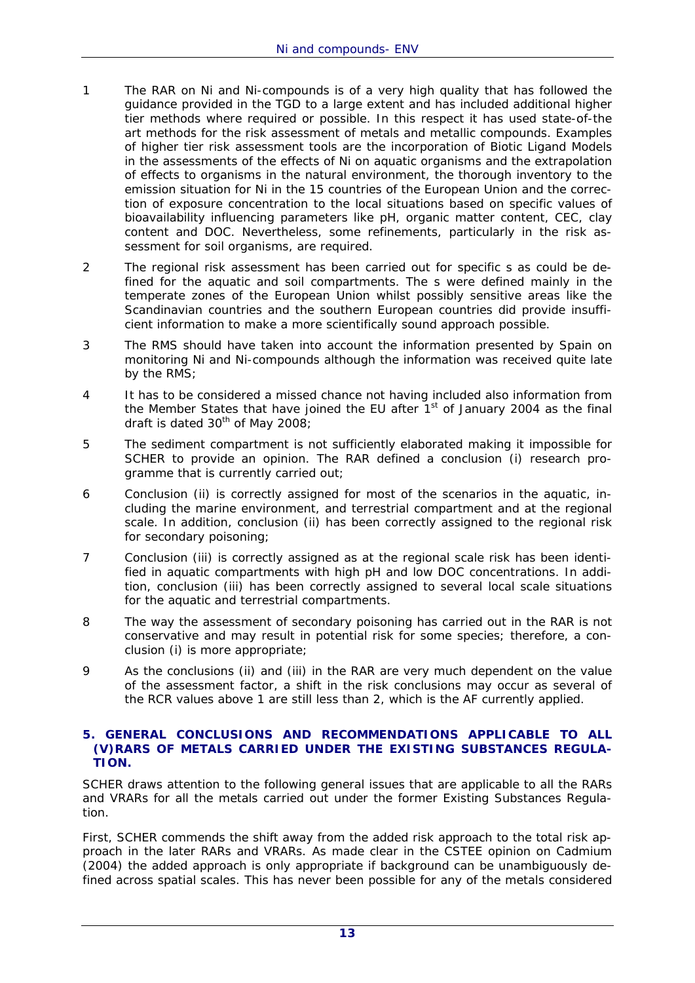- 1 The RAR on Ni and Ni-compounds is of a very high quality that has followed the guidance provided in the TGD to a large extent and has included additional higher tier methods where required or possible. In this respect it has used state-of-the art methods for the risk assessment of metals and metallic compounds. Examples of higher tier risk assessment tools are the incorporation of Biotic Ligand Models in the assessments of the effects of Ni on aquatic organisms and the extrapolation of effects to organisms in the natural environment, the thorough inventory to the emission situation for Ni in the 15 countries of the European Union and the correction of exposure concentration to the local situations based on specific values of bioavailability influencing parameters like pH, organic matter content, CEC, clay content and DOC. Nevertheless, some refinements, particularly in the risk assessment for soil organisms, are required.
- 2 The regional risk assessment has been carried out for specific s as could be defined for the aquatic and soil compartments. The s were defined mainly in the temperate zones of the European Union whilst possibly sensitive areas like the Scandinavian countries and the southern European countries did provide insufficient information to make a more scientifically sound approach possible.
- 3 The RMS should have taken into account the information presented by Spain on monitoring Ni and Ni-compounds although the information was received quite late by the RMS;
- 4 It has to be considered a missed chance not having included also information from the Member States that have joined the EU after  $1<sup>st</sup>$  of January 2004 as the final draft is dated  $30<sup>th</sup>$  of May 2008;
- 5 The sediment compartment is not sufficiently elaborated making it impossible for SCHER to provide an opinion. The RAR defined a conclusion (i) research programme that is currently carried out;
- 6 Conclusion (ii) is correctly assigned for most of the scenarios in the aquatic, including the marine environment, and terrestrial compartment and at the regional scale. In addition, conclusion (ii) has been correctly assigned to the regional risk for secondary poisoning;
- 7 Conclusion (iii) is correctly assigned as at the regional scale risk has been identified in aquatic compartments with high pH and low DOC concentrations. In addition, conclusion (iii) has been correctly assigned to several local scale situations for the aquatic and terrestrial compartments.
- 8 The way the assessment of secondary poisoning has carried out in the RAR is not conservative and may result in potential risk for some species; therefore, a conclusion (i) is more appropriate;
- 9 As the conclusions (ii) and (iii) in the RAR are very much dependent on the value of the assessment factor, a shift in the risk conclusions may occur as several of the RCR values above 1 are still less than 2, which is the AF currently applied.

#### **5. GENERAL CONCLUSIONS AND RECOMMENDATIONS APPLICABLE TO ALL (V)RARS OF METALS CARRIED UNDER THE EXISTING SUBSTANCES REGULA-TION.**

SCHER draws attention to the following general issues that are applicable to all the RARs and VRARs for all the metals carried out under the former Existing Substances Regulation.

First, SCHER commends the shift away from the added risk approach to the total risk approach in the later RARs and VRARs. As made clear in the CSTEE opinion on Cadmium (2004) the added approach is only appropriate if background can be unambiguously defined across spatial scales. This has never been possible for any of the metals considered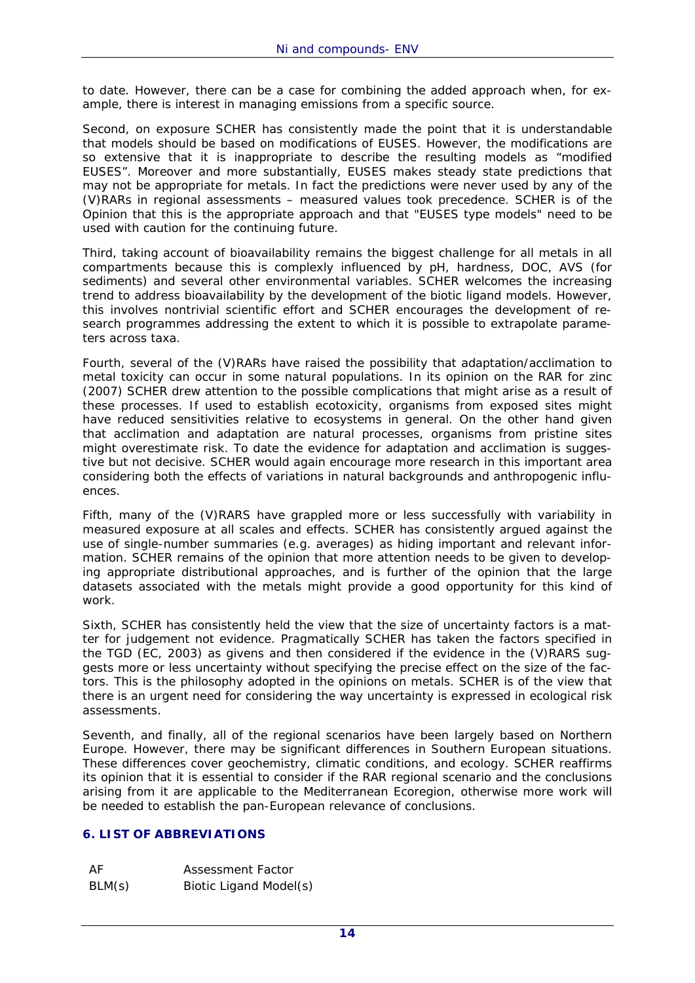to date. However, there can be a case for combining the added approach when, for example, there is interest in managing emissions from a specific source.

Second, on exposure SCHER has consistently made the point that it is understandable that models should be based on modifications of EUSES. However, the modifications are so extensive that it is inappropriate to describe the resulting models as "modified EUSES". Moreover and more substantially, EUSES makes steady state predictions that may not be appropriate for metals. In fact the predictions were never used by any of the (V)RARs in regional assessments – measured values took precedence. SCHER is of the Opinion that this is the appropriate approach and that "EUSES type models" need to be used with caution for the continuing future.

Third, taking account of bioavailability remains the biggest challenge for all metals in all compartments because this is complexly influenced by pH, hardness, DOC, AVS (for sediments) and several other environmental variables. SCHER welcomes the increasing trend to address bioavailability by the development of the biotic ligand models. However, this involves nontrivial scientific effort and SCHER encourages the development of research programmes addressing the extent to which it is possible to extrapolate parameters across taxa.

Fourth, several of the (V)RARs have raised the possibility that adaptation/acclimation to metal toxicity can occur in some natural populations. In its opinion on the RAR for zinc (2007) SCHER drew attention to the possible complications that might arise as a result of these processes. If used to establish ecotoxicity, organisms from exposed sites might have reduced sensitivities relative to ecosystems in general. On the other hand given that acclimation and adaptation are natural processes, organisms from pristine sites might overestimate risk. To date the evidence for adaptation and acclimation is suggestive but not decisive. SCHER would again encourage more research in this important area considering both the effects of variations in natural backgrounds and anthropogenic influences.

Fifth, many of the (V)RARS have grappled more or less successfully with variability in measured exposure at all scales and effects. SCHER has consistently argued against the use of single-number summaries (e.g. averages) as hiding important and relevant information. SCHER remains of the opinion that more attention needs to be given to developing appropriate distributional approaches, and is further of the opinion that the large datasets associated with the metals might provide a good opportunity for this kind of work.

Sixth, SCHER has consistently held the view that the size of uncertainty factors is a matter for judgement not evidence. Pragmatically SCHER has taken the factors specified in the TGD (EC, 2003) as givens and then considered if the evidence in the (V)RARS suggests more or less uncertainty without specifying the precise effect on the size of the factors. This is the philosophy adopted in the opinions on metals. SCHER is of the view that there is an urgent need for considering the way uncertainty is expressed in ecological risk assessments.

Seventh, and finally, all of the regional scenarios have been largely based on Northern Europe. However, there may be significant differences in Southern European situations. These differences cover geochemistry, climatic conditions, and ecology. SCHER reaffirms its opinion that it is essential to consider if the RAR regional scenario and the conclusions arising from it are applicable to the Mediterranean Ecoregion, otherwise more work will be needed to establish the pan-European relevance of conclusions.

#### **6. LIST OF ABBREVIATIONS**

| AF     | Assessment Factor      |
|--------|------------------------|
| BLM(s) | Biotic Ligand Model(s) |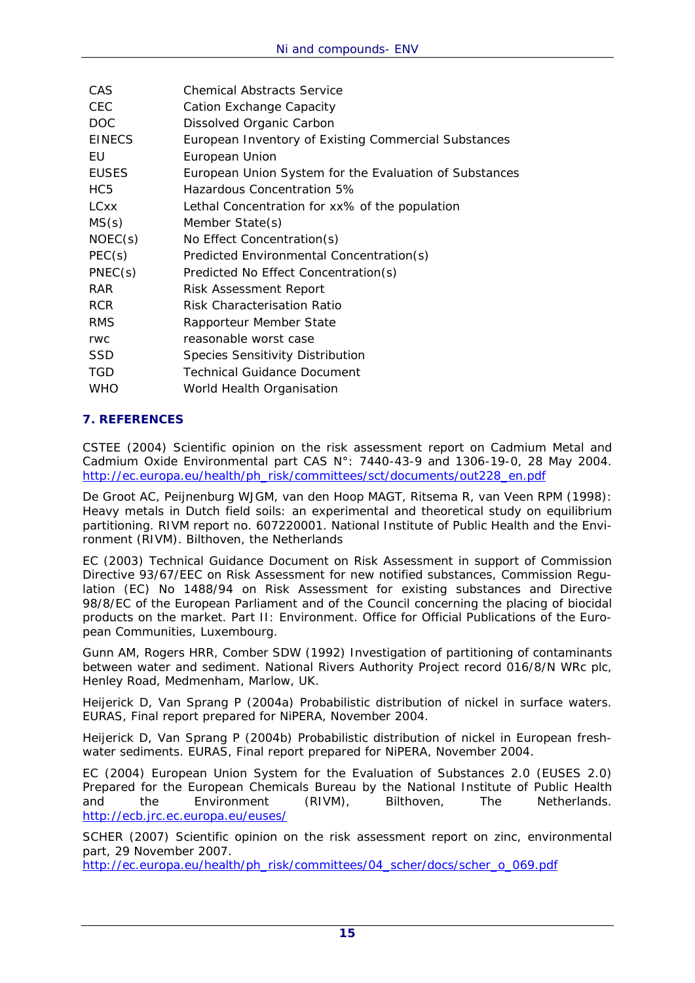| <b>CAS</b>      | <b>Chemical Abstracts Service</b>                      |
|-----------------|--------------------------------------------------------|
| <b>CEC</b>      | Cation Exchange Capacity                               |
| DOC             | Dissolved Organic Carbon                               |
| <b>EINECS</b>   | European Inventory of Existing Commercial Substances   |
| EU              | European Union                                         |
| <b>EUSES</b>    | European Union System for the Evaluation of Substances |
| HC <sub>5</sub> | Hazardous Concentration 5%                             |
| <b>LCxx</b>     | Lethal Concentration for xx% of the population         |
| MS(s)           | Member State(s)                                        |
| NOEC(s)         | No Effect Concentration(s)                             |
| PEC(s)          | Predicted Environmental Concentration(s)               |
| PNEC(s)         | Predicted No Effect Concentration(s)                   |
| <b>RAR</b>      | <b>Risk Assessment Report</b>                          |
| <b>RCR</b>      | Risk Characterisation Ratio                            |
| <b>RMS</b>      | Rapporteur Member State                                |
| <b>rwc</b>      | reasonable worst case                                  |
| <b>SSD</b>      | <b>Species Sensitivity Distribution</b>                |
| <b>TGD</b>      | <b>Technical Guidance Document</b>                     |
| <b>WHO</b>      | World Health Organisation                              |

# **7. REFERENCES**

CSTEE (2004) Scientific opinion on the risk assessment report on Cadmium Metal and Cadmium Oxide Environmental part CAS N°: 7440-43-9 and 1306-19-0, 28 May 2004. http://ec.europa.eu/health/ph\_risk/committees/sct/documents/out228\_en.pdf

De Groot AC, Peijnenburg WJGM, van den Hoop MAGT, Ritsema R, van Veen RPM (1998): Heavy metals in Dutch field soils: an experimental and theoretical study on equilibrium partitioning. RIVM report no. 607220001. National Institute of Public Health and the Environment (RIVM). Bilthoven, the Netherlands

EC (2003) Technical Guidance Document on Risk Assessment in support of Commission Directive 93/67/EEC on Risk Assessment for new notified substances, Commission Regulation (EC) No 1488/94 on Risk Assessment for existing substances and Directive 98/8/EC of the European Parliament and of the Council concerning the placing of biocidal products on the market. Part II: Environment. Office for Official Publications of the European Communities, Luxembourg.

Gunn AM, Rogers HRR, Comber SDW (1992) Investigation of partitioning of contaminants between water and sediment. National Rivers Authority Project record 016/8/N WRc plc, Henley Road, Medmenham, Marlow, UK.

Heijerick D, Van Sprang P (2004a) Probabilistic distribution of nickel in surface waters. EURAS, Final report prepared for NiPERA, November 2004.

Heijerick D, Van Sprang P (2004b) Probabilistic distribution of nickel in European freshwater sediments. EURAS, Final report prepared for NiPERA, November 2004.

EC (2004) European Union System for the Evaluation of Substances 2.0 (EUSES 2.0) Prepared for the European Chemicals Bureau by the National Institute of Public Health and the Environment (RIVM), Bilthoven, The Netherlands. http://ecb.jrc.ec.europa.eu/euses/

SCHER (2007) Scientific opinion on the risk assessment report on zinc, environmental part, 29 November 2007.

http://ec.europa.eu/health/ph\_risk/committees/04\_scher/docs/scher\_o\_069.pdf